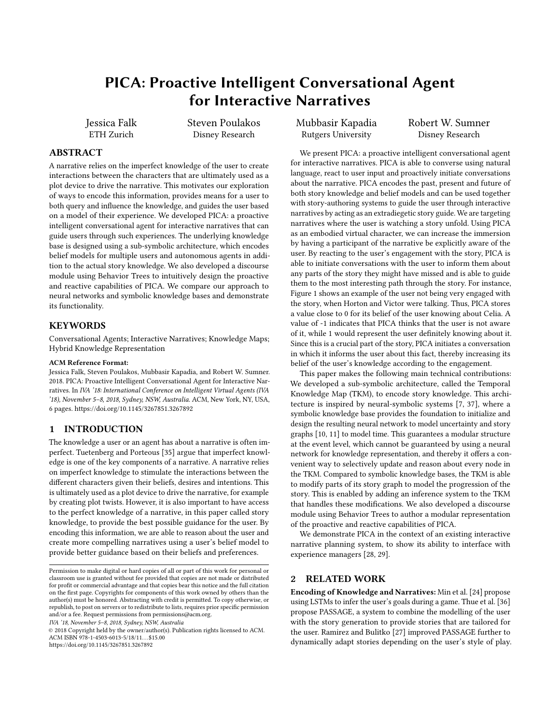# PICA: Proactive Intelligent Conversational Agent for Interactive Narratives

Jessica Falk ETH Zurich

Steven Poulakos Disney Research

# ABSTRACT

A narrative relies on the imperfect knowledge of the user to create interactions between the characters that are ultimately used as a plot device to drive the narrative. This motivates our exploration of ways to encode this information, provides means for a user to both query and influence the knowledge, and guides the user based on a model of their experience. We developed PICA: a proactive intelligent conversational agent for interactive narratives that can guide users through such experiences. The underlying knowledge base is designed using a sub-symbolic architecture, which encodes belief models for multiple users and autonomous agents in addition to the actual story knowledge. We also developed a discourse module using Behavior Trees to intuitively design the proactive and reactive capabilities of PICA. We compare our approach to neural networks and symbolic knowledge bases and demonstrate its functionality.

#### **KEYWORDS**

Conversational Agents; Interactive Narratives; Knowledge Maps; Hybrid Knowledge Representation

#### ACM Reference Format:

Jessica Falk, Steven Poulakos, Mubbasir Kapadia, and Robert W. Sumner. 2018. PICA: Proactive Intelligent Conversational Agent for Interactive Narratives. In IVA '18: International Conference on Intelligent Virtual Agents (IVA '18), November 5–8, 2018, Sydney, NSW, Australia. ACM, New York, NY, USA, [6](#page-5-0) pages.<https://doi.org/10.1145/3267851.3267892>

#### 1 INTRODUCTION

The knowledge a user or an agent has about a narrative is often imperfect. Tuetenberg and Porteous [\[35\]](#page-5-1) argue that imperfect knowledge is one of the key components of a narrative. A narrative relies on imperfect knowledge to stimulate the interactions between the different characters given their beliefs, desires and intentions. This is ultimately used as a plot device to drive the narrative, for example by creating plot twists. However, it is also important to have access to the perfect knowledge of a narrative, in this paper called story knowledge, to provide the best possible guidance for the user. By encoding this information, we are able to reason about the user and create more compelling narratives using a user's belief model to provide better guidance based on their beliefs and preferences.

IVA '18, November 5–8, 2018, Sydney, NSW, Australia

© 2018 Copyright held by the owner/author(s). Publication rights licensed to ACM. ACM ISBN 978-1-4503-6013-5/18/11...\$15.00 <https://doi.org/10.1145/3267851.3267892>

Mubbasir Kapadia Rutgers University

Robert W. Sumner Disney Research

We present PICA: a proactive intelligent conversational agent for interactive narratives. PICA is able to converse using natural language, react to user input and proactively initiate conversations about the narrative. PICA encodes the past, present and future of both story knowledge and belief models and can be used together with story-authoring systems to guide the user through interactive narratives by acting as an extradiegetic story guide. We are targeting narratives where the user is watching a story unfold. Using PICA as an embodied virtual character, we can increase the immersion by having a participant of the narrative be explicitly aware of the user. By reacting to the user's engagement with the story, PICA is able to initiate conversations with the user to inform them about any parts of the story they might have missed and is able to guide them to the most interesting path through the story. For instance, Figure [1](#page-1-0) shows an example of the user not being very engaged with the story, when Horton and Victor were talking. Thus, PICA stores a value close to 0 for its belief of the user knowing about Celia. A value of -1 indicates that PICA thinks that the user is not aware of it, while 1 would represent the user definitely knowing about it. Since this is a crucial part of the story, PICA initiates a conversation in which it informs the user about this fact, thereby increasing its belief of the user's knowledge according to the engagement.

This paper makes the following main technical contributions: We developed a sub-symbolic architecture, called the Temporal Knowledge Map (TKM), to encode story knowledge. This architecture is inspired by neural-symbolic systems [\[7,](#page-5-2) [37\]](#page-5-3), where a symbolic knowledge base provides the foundation to initialize and design the resulting neural network to model uncertainty and story graphs [\[10,](#page-5-4) [11\]](#page-5-5) to model time. This guarantees a modular structure at the event level, which cannot be guaranteed by using a neural network for knowledge representation, and thereby it offers a convenient way to selectively update and reason about every node in the TKM. Compared to symbolic knowledge bases, the TKM is able to modify parts of its story graph to model the progression of the story. This is enabled by adding an inference system to the TKM that handles these modifications. We also developed a discourse module using Behavior Trees to author a modular representation of the proactive and reactive capabilities of PICA.

We demonstrate PICA in the context of an existing interactive narrative planning system, to show its ability to interface with experience managers [\[28,](#page-5-6) [29\]](#page-5-7).

# 2 RELATED WORK

Encoding of Knowledge and Narratives: Min et al. [\[24\]](#page-5-8) propose using LSTMs to infer the user's goals during a game. Thue et al. [\[36\]](#page-5-9) propose PASSAGE, a system to combine the modelling of the user with the story generation to provide stories that are tailored for the user. Ramirez and Bulitko [\[27\]](#page-5-10) improved PASSAGE further to dynamically adapt stories depending on the user's style of play.

Permission to make digital or hard copies of all or part of this work for personal or classroom use is granted without fee provided that copies are not made or distributed for profit or commercial advantage and that copies bear this notice and the full citation on the first page. Copyrights for components of this work owned by others than the author(s) must be honored. Abstracting with credit is permitted. To copy otherwise, or republish, to post on servers or to redistribute to lists, requires prior specific permission and/or a fee. Request permissions from permissions@acm.org.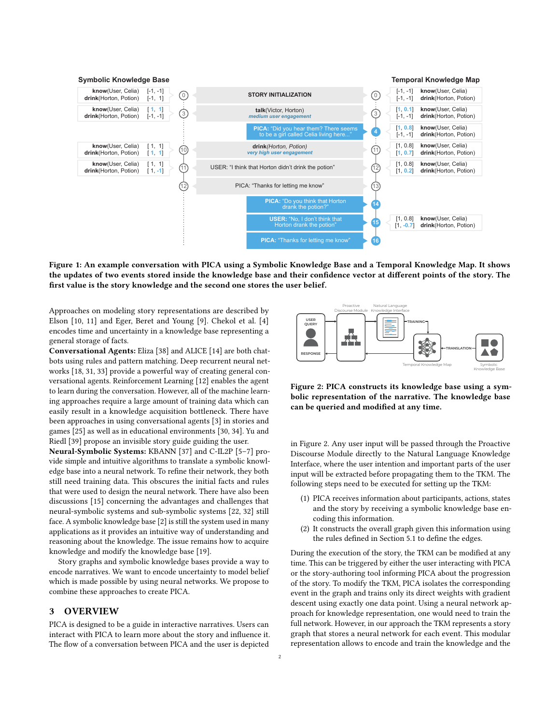<span id="page-1-0"></span>

Figure 1: An example conversation with PICA using a Symbolic Knowledge Base and a Temporal Knowledge Map. It shows the updates of two events stored inside the knowledge base and their confidence vector at different points of the story. The first value is the story knowledge and the second one stores the user belief.

Approaches on modeling story representations are described by Elson [\[10,](#page-5-4) [11\]](#page-5-5) and Eger, Beret and Young [\[9\]](#page-5-11). Chekol et al. [\[4\]](#page-5-12) encodes time and uncertainty in a knowledge base representing a general storage of facts.

Conversational Agents: Eliza [\[38\]](#page-5-13) and ALICE [\[14\]](#page-5-14) are both chatbots using rules and pattern matching. Deep recurrent neural networks [\[18,](#page-5-15) [31,](#page-5-16) [33\]](#page-5-17) provide a powerful way of creating general conversational agents. Reinforcement Learning [\[12\]](#page-5-18) enables the agent to learn during the conversation. However, all of the machine learning approaches require a large amount of training data which can easily result in a knowledge acquisition bottleneck. There have been approaches in using conversational agents [\[3\]](#page-5-19) in stories and games [\[25\]](#page-5-20) as well as in educational environments [\[30,](#page-5-21) [34\]](#page-5-22). Yu and Riedl [\[39\]](#page-5-23) propose an invisible story guide guiding the user.

Neural-Symbolic Systems: KBANN [\[37\]](#page-5-3) and C-IL2P [\[5–](#page-5-24)[7\]](#page-5-2) provide simple and intuitive algorithms to translate a symbolic knowledge base into a neural network. To refine their network, they both still need training data. This obscures the initial facts and rules that were used to design the neural network. There have also been discussions [\[15\]](#page-5-25) concerning the advantages and challenges that neural-symbolic systems and sub-symbolic systems [\[22,](#page-5-26) [32\]](#page-5-27) still face. A symbolic knowledge base [\[2\]](#page-5-28) is still the system used in many applications as it provides an intuitive way of understanding and reasoning about the knowledge. The issue remains how to acquire knowledge and modify the knowledge base [\[19\]](#page-5-29). Example the state and of the state and of the state of a conversation and the example of a conversation and a conversation of the state is dependent of the and the state of a conversation and a conversation and the model

Story graphs and symbolic knowledge bases provide a way to encode narratives. We want to encode uncertainty to model belief which is made possible by using neural networks. We propose to combine these approaches to create PICA.

#### 3 OVERVIEW

PICA is designed to be a guide in interactive narratives. Users can interact with PICA to learn more about the story and influence it.

<span id="page-1-1"></span>

Figure 2: PICA constructs its knowledge base using a symbolic representation of the narrative. The knowledge base can be queried and modified at any time.

in Figure [2.](#page-1-1) Any user input will be passed through the Proactive Discourse Module directly to the Natural Language Knowledge Interface, where the user intention and important parts of the user input will be extracted before propagating them to the TKM. The following steps need to be executed for setting up the TKM:

- (1) PICA receives information about participants, actions, states and the story by receiving a symbolic knowledge base encoding this information.
- (2) It constructs the overall graph given this information using the rules defined in Section 5.1 to define the edges.

During the execution of the story, the TKM can be modified at any time. This can be triggered by either the user interacting with PICA or the story-authoring tool informing PICA about the progression of the story. To modify the TKM, PICA isolates the corresponding event in the graph and trains only its direct weights with gradient descent using exactly one data point. Using a neural network approach for knowledge representation, one would need to train the full network. However, in our approach the TKM represents a story graph that stores a neural network for each event. This modular representation allows to encode and train the knowledge and the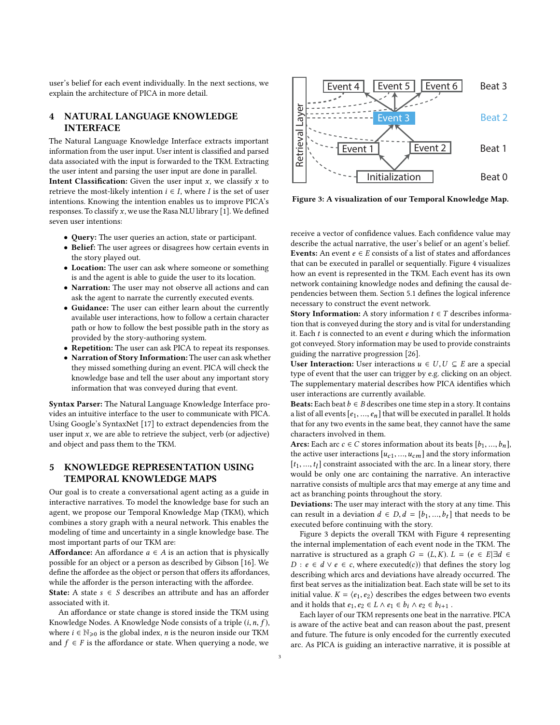user's belief for each event individually. In the next sections, we explain the architecture of PICA in more detail.

# 4 NATURAL LANGUAGE KNOWLEDGE INTERFACE

The Natural Language Knowledge Interface extracts important information from the user input. User intent is classified and parsed data associated with the input is forwarded to the TKM. Extracting the user intent and parsing the user input are done in parallel. **Intent Classification:** Given the user input  $x$ , we classify  $x$  to retrieve the most-likely intention  $i \in I$ , where I is the set of user intentions. Knowing the intention enables us to improve PICA's responses. To classify  $x$ , we use the Rasa NLU library [\[1\]](#page-5-30). We defined seven user intentions:

- Query: The user queries an action, state or participant.
- Belief: The user agrees or disagrees how certain events in the story played out.
- Location: The user can ask where someone or something is and the agent is able to guide the user to its location.
- Narration: The user may not observe all actions and can ask the agent to narrate the currently executed events.
- Guidance: The user can either learn about the currently available user interactions, how to follow a certain character path or how to follow the best possible path in the story as provided by the story-authoring system.
- Repetition: The user can ask PICA to repeat its responses.
- Narration of Story Information: The user can ask whether they missed something during an event. PICA will check the knowledge base and tell the user about any important story information that was conveyed during that event.

Syntax Parser: The Natural Language Knowledge Interface provides an intuitive interface to the user to communicate with PICA. Using Google's SyntaxNet [\[17\]](#page-5-31) to extract dependencies from the user input  $x$ , we are able to retrieve the subject, verb (or adjective) and object and pass them to the TKM.

# 5 KNOWLEDGE REPRESENTATION USING TEMPORAL KNOWLEDGE MAPS

Our goal is to create a conversational agent acting as a guide in interactive narratives. To model the knowledge base for such an agent, we propose our Temporal Knowledge Map (TKM), which combines a story graph with a neural network. This enables the modeling of time and uncertainty in a single knowledge base. The most important parts of our TKM are:

**Affordance:** An affordance  $a \in A$  is an action that is physically possible for an object or a person as described by Gibson [\[16\]](#page-5-32). We define the affordee as the object or person that offers its affordances, while the afforder is the person interacting with the affordee.

**State:** A state  $s \text{ ∈ } S$  describes an attribute and has an afforder associated with it.

An affordance or state change is stored inside the TKM using Knowledge Nodes. A Knowledge Node consists of a triple  $(i, n, f)$ , where  $i \in \mathbb{N}_{\geq 0}$  is the global index, *n* is the neuron inside our TKM and  $f \in F$  is the affordance or state. When querying a node, we

<span id="page-2-0"></span>

Figure 3: A visualization of our Temporal Knowledge Map.

receive a vector of confidence values. Each confidence value may describe the actual narrative, the user's belief or an agent's belief. Events: An event  $e \in E$  consists of a list of states and affordances that can be executed in parallel or sequentially. Figure [4](#page-3-0) visualizes how an event is represented in the TKM. Each event has its own network containing knowledge nodes and defining the causal dependencies between them. Section 5.1 defines the logical inference necessary to construct the event network.

**Story Information:** A story information  $t \in T$  describes information that is conveyed during the story and is vital for understanding it. Each  $t$  is connected to an event  $e$  during which the information got conveyed. Story information may be used to provide constraints guiding the narrative progression [\[26\]](#page-5-33).

**User Interaction:** User interactions  $u \in U, U \subseteq E$  are a special type of event that the user can trigger by e.g. clicking on an object. The supplementary material describes how PICA identifies which user interactions are currently available.

**Beats:** Each beat  $b \in B$  describes one time step in a story. It contains a list of all events  $[e_1, ..., e_n]$  that will be executed in parallel. It holds that for any two events in the same beat, they cannot have the same characters involved in them.

Arcs: Each arc  $c \in C$  stores information about its beats  $[b_1, ..., b_n]$ , the active user interactions  $[u_{c1},...,u_{cm}]$  and the story information  $[t_1, ..., t_l]$  constraint associated with the arc. In a linear story, there would be only one arc containing the narrative. An interactive would be only one arc containing the narrative. An interactive narrative consists of multiple arcs that may emerge at any time and act as branching points throughout the story.

Deviations: The user may interact with the story at any time. This can result in a deviation  $d \in D$ ,  $d = [b_1, ..., b_t]$  that needs to be executed before continuing with the story.

Figure [3](#page-2-0) depicts the overall TKM with Figure [4](#page-3-0) representing the internal implementation of each event node in the TKM. The narrative is structured as a graph  $G = (L, K)$ .  $L = (e \in E] \exists d \in$  $D: e ∈ d ∨ e ∈ c$ , where executed(c)) that defines the story log describing which arcs and deviations have already occurred. The first beat serves as the initialization beat. Each state will be set to its initial value.  $K = \langle e_1, e_2 \rangle$  describes the edges between two events and it holds that  $e_1, e_2 \in L \wedge e_1 \in b_i \wedge e_2 \in b_{i+1}$ .

Each layer of our TKM represents one beat in the narrative. PICA is aware of the active beat and can reason about the past, present and future. The future is only encoded for the currently executed arc. As PICA is guiding an interactive narrative, it is possible at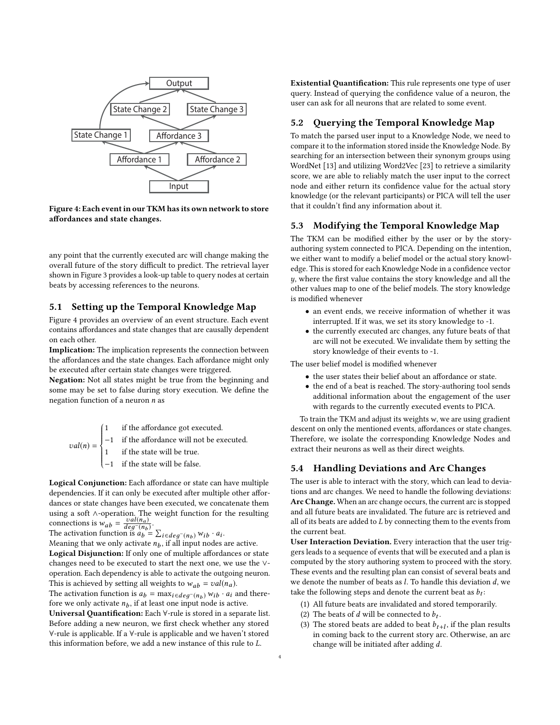<span id="page-3-0"></span>

Figure 4: Each event in our TKM has its own network to store affordances and state changes.

any point that the currently executed arc will change making the overall future of the story difficult to predict. The retrieval layer shown in Figure [3](#page-2-0) provides a look-up table to query nodes at certain beats by accessing references to the neurons.

## 5.1 Setting up the Temporal Knowledge Map

Figure [4](#page-3-0) provides an overview of an event structure. Each event contains affordances and state changes that are causally dependent on each other.

Implication: The implication represents the connection between the affordances and the state changes. Each affordance might only be executed after certain state changes were triggered.

Negation: Not all states might be true from the beginning and some may be set to false during story execution. We define the negation function of a neuron  $n$  as

$$
val(n) = \begin{cases} 1 & \text{if the affordedance got executed.} \\ -1 & \text{if the affordedance will not be executed.} \\ 1 & \text{if the state will be true.} \\ -1 & \text{if the state will be false.} \end{cases}
$$

Logical Conjunction: Each affordance or state can have multiple dependencies. If it can only be executed after multiple other affordances or state changes have been executed, we concatenate them using a soft ∧-operation. The weight function for the resulting connections is  $w_{ab} = \frac{val(n_a)}{deg^-(n_b)}$ <br>The activation function is a  $\frac{\partial a_l(n_a)}{\partial e g^-(n_b)}$ .<br>n is  $a_b =$ 

The activation function is  $a_b = \sum_{i \in deg^{-}(n_b)} w_{ib} \cdot a_i$ .<br>Meaning that we only activate  $n_i$ , if all input nodes.

Meaning that we only activate  $n_b$ , if all input nodes are active.<br>Logical Disiunction: If only one of multiple affordances or st Logical Disjunction: If only one of multiple affordances or state changes need to be executed to start the next one, we use the ∨ operation. Each dependency is able to activate the outgoing neuron. This is achieved by setting all weights to  $w_{ab} = val(n_a)$ .

The activation function is  $a_b = \max_{i \in deg^{-}(n_b)} w_{ib} \cdot a_i$  and there-<br>fore we only activate  $n_i$ , if at least one input node is active fore we only activate  $n_b$ , if at least one input node is active.<br>Universal Quantification: Each Y-rule is stored in a senary

Universal Quantification: Each ∀-rule is stored in a separate list. Before adding a new neuron, we first check whether any stored ∀-rule is applicable. If a ∀-rule is applicable and we haven't stored this information before, we add a new instance of this rule to L.

Existential Quantification: This rule represents one type of user query. Instead of querying the confidence value of a neuron, the user can ask for all neurons that are related to some event.

## 5.2 Querying the Temporal Knowledge Map

To match the parsed user input to a Knowledge Node, we need to compare it to the information stored inside the Knowledge Node. By searching for an intersection between their synonym groups using WordNet [\[13\]](#page-5-34) and utilizing Word2Vec [\[23\]](#page-5-35) to retrieve a similarity score, we are able to reliably match the user input to the correct node and either return its confidence value for the actual story knowledge (or the relevant participants) or PICA will tell the user that it couldn't find any information about it.

#### 5.3 Modifying the Temporal Knowledge Map

The TKM can be modified either by the user or by the storyauthoring system connected to PICA. Depending on the intention, we either want to modify a belief model or the actual story knowledge. This is stored for each Knowledge Node in a confidence vector  $y$ , where the first value contains the story knowledge and all the other values map to one of the belief models. The story knowledge is modified whenever

- an event ends, we receive information of whether it was interrupted. If it was, we set its story knowledge to -1.
- the currently executed arc changes, any future beats of that arc will not be executed. We invalidate them by setting the story knowledge of their events to -1.

The user belief model is modified whenever

- the user states their belief about an affordance or state.
- the end of a beat is reached. The story-authoring tool sends additional information about the engagement of the user with regards to the currently executed events to PICA.

To train the TKM and adjust its weights  $w$ , we are using gradient descent on only the mentioned events, affordances or state changes. Therefore, we isolate the corresponding Knowledge Nodes and extract their neurons as well as their direct weights.

## 5.4 Handling Deviations and Arc Changes

The user is able to interact with the story, which can lead to deviations and arc changes. We need to handle the following deviations: Arc Change. When an arc change occurs, the current arc is stopped and all future beats are invalidated. The future arc is retrieved and all of its beats are added to  $L$  by connecting them to the events from the current beat.

User Interaction Deviation. Every interaction that the user triggers leads to a sequence of events that will be executed and a plan is computed by the story authoring system to proceed with the story. These events and the resulting plan can consist of several beats and we denote the number of beats as l. To handle this deviation d, we take the following steps and denote the current beat as  $b_t$ :

- (1) All future beats are invalidated and stored temporarily.
- (2) The beats of d will be connected to  $b_t$ .<br>(3) The stored beats are added to beat h
- (3) The stored beats are added to beat  $b_{t+l}$ , if the plan results<br>in coming back to the current story are Otherwise an arc in coming back to the current story arc. Otherwise, an arc change will be initiated after adding d.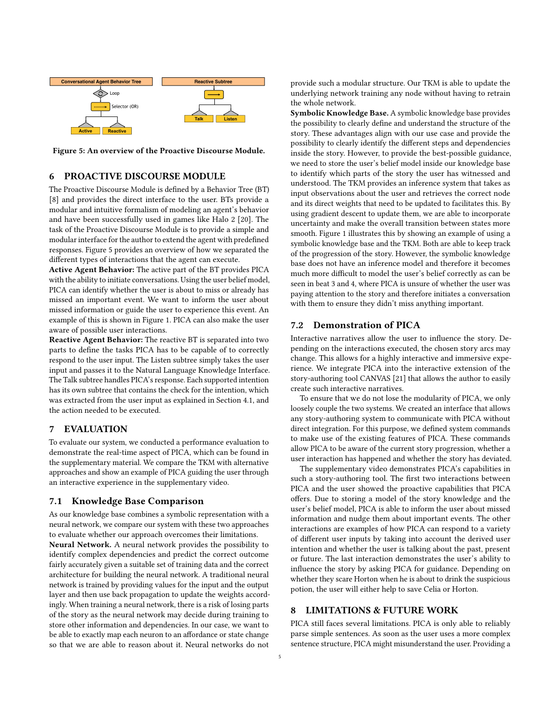<span id="page-4-0"></span>

Figure 5: An overview of the Proactive Discourse Module.

# 6 PROACTIVE DISCOURSE MODULE

The Proactive Discourse Module is defined by a Behavior Tree (BT) [\[8\]](#page-5-36) and provides the direct interface to the user. BTs provide a modular and intuitive formalism of modeling an agent's behavior and have been successfully used in games like Halo 2 [\[20\]](#page-5-37). The task of the Proactive Discourse Module is to provide a simple and modular interface for the author to extend the agent with predefined responses. Figure [5](#page-4-0) provides an overview of how we separated the different types of interactions that the agent can execute.

Active Agent Behavior: The active part of the BT provides PICA with the ability to initiate conversations. Using the user belief model, PICA can identify whether the user is about to miss or already has missed an important event. We want to inform the user about missed information or guide the user to experience this event. An example of this is shown in Figure [1.](#page-1-0) PICA can also make the user aware of possible user interactions.

Reactive Agent Behavior: The reactive BT is separated into two parts to define the tasks PICA has to be capable of to correctly respond to the user input. The Listen subtree simply takes the user input and passes it to the Natural Language Knowledge Interface. The Talk subtree handles PICA's response. Each supported intention has its own subtree that contains the check for the intention, which was extracted from the user input as explained in Section 4.1, and the action needed to be executed.

#### 7 EVALUATION

To evaluate our system, we conducted a performance evaluation to demonstrate the real-time aspect of PICA, which can be found in the supplementary material. We compare the TKM with alternative approaches and show an example of PICA guiding the user through an interactive experience in the supplementary video.

#### 7.1 Knowledge Base Comparison

As our knowledge base combines a symbolic representation with a neural network, we compare our system with these two approaches to evaluate whether our approach overcomes their limitations. Neural Network. A neural network provides the possibility to identify complex dependencies and predict the correct outcome fairly accurately given a suitable set of training data and the correct architecture for building the neural network. A traditional neural network is trained by providing values for the input and the output layer and then use back propagation to update the weights accordingly. When training a neural network, there is a risk of losing parts of the story as the neural network may decide during training to store other information and dependencies. In our case, we want to be able to exactly map each neuron to an affordance or state change so that we are able to reason about it. Neural networks do not

provide such a modular structure. Our TKM is able to update the underlying network training any node without having to retrain the whole network.

Symbolic Knowledge Base. A symbolic knowledge base provides the possibility to clearly define and understand the structure of the story. These advantages align with our use case and provide the possibility to clearly identify the different steps and dependencies inside the story. However, to provide the best-possible guidance, we need to store the user's belief model inside our knowledge base to identify which parts of the story the user has witnessed and understood. The TKM provides an inference system that takes as input observations about the user and retrieves the correct node and its direct weights that need to be updated to facilitates this. By using gradient descent to update them, we are able to incorporate uncertainty and make the overall transition between states more smooth. Figure [1](#page-1-0) illustrates this by showing an example of using a symbolic knowledge base and the TKM. Both are able to keep track of the progression of the story. However, the symbolic knowledge base does not have an inference model and therefore it becomes much more difficult to model the user's belief correctly as can be seen in beat 3 and 4, where PICA is unsure of whether the user was paying attention to the story and therefore initiates a conversation with them to ensure they didn't miss anything important.

#### 7.2 Demonstration of PICA

Interactive narratives allow the user to influence the story. Depending on the interactions executed, the chosen story arcs may change. This allows for a highly interactive and immersive experience. We integrate PICA into the interactive extension of the story-authoring tool CANVAS [\[21\]](#page-5-38) that allows the author to easily create such interactive narratives.

To ensure that we do not lose the modularity of PICA, we only loosely couple the two systems. We created an interface that allows any story-authoring system to communicate with PICA without direct integration. For this purpose, we defined system commands to make use of the existing features of PICA. These commands allow PICA to be aware of the current story progression, whether a user interaction has happened and whether the story has deviated.

The supplementary video demonstrates PICA's capabilities in such a story-authoring tool. The first two interactions between PICA and the user showed the proactive capabilities that PICA offers. Due to storing a model of the story knowledge and the user's belief model, PICA is able to inform the user about missed information and nudge them about important events. The other interactions are examples of how PICA can respond to a variety of different user inputs by taking into account the derived user intention and whether the user is talking about the past, present or future. The last interaction demonstrates the user's ability to influence the story by asking PICA for guidance. Depending on whether they scare Horton when he is about to drink the suspicious potion, the user will either help to save Celia or Horton.

# 8 LIMITATIONS & FUTURE WORK

PICA still faces several limitations. PICA is only able to reliably parse simple sentences. As soon as the user uses a more complex sentence structure, PICA might misunderstand the user. Providing a